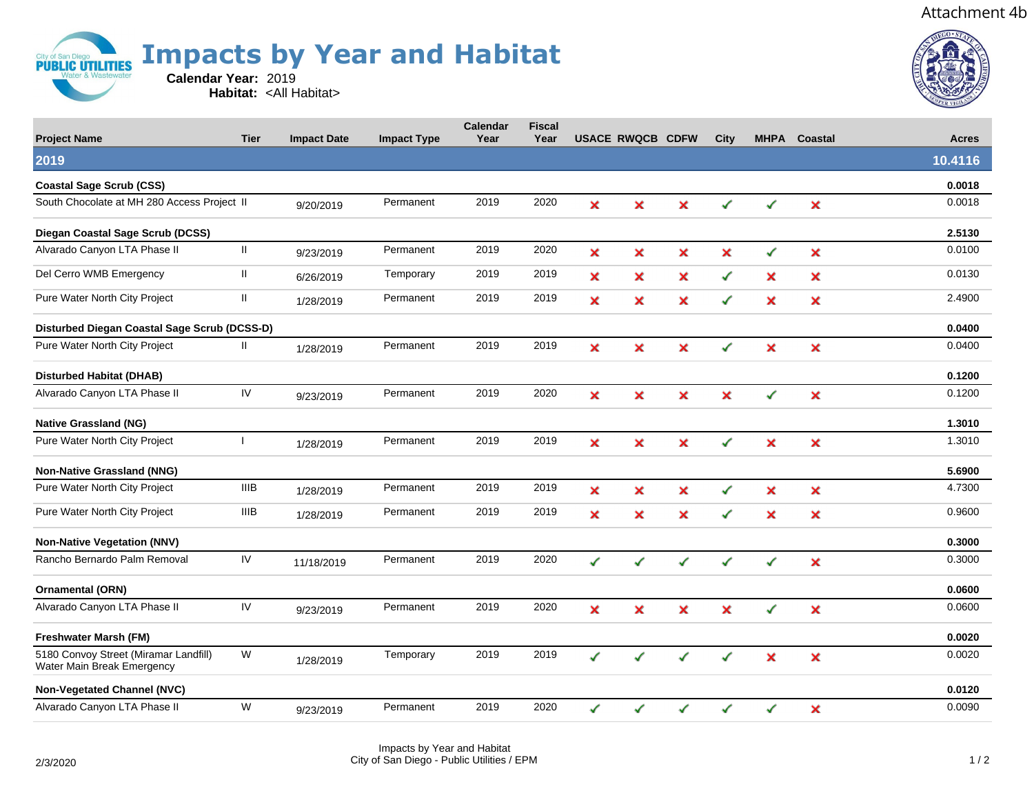Attachment 4b

## **Impacts by Year and Habitat** City of San Diego **TTILITIES**

**Calendar Year:** 2019 **Habitat:** <All Habitat>



| <b>Project Name</b>                                                 | <b>Tier</b>              | <b>Impact Date</b> | <b>Impact Type</b> | <b>Calendar</b><br>Year | <b>Fiscal</b><br>Year |              | <b>USACE RWQCB CDFW</b>   |                           | City         |                           | MHPA Coastal              | <b>Acres</b> |
|---------------------------------------------------------------------|--------------------------|--------------------|--------------------|-------------------------|-----------------------|--------------|---------------------------|---------------------------|--------------|---------------------------|---------------------------|--------------|
| 2019                                                                |                          |                    |                    |                         |                       |              |                           |                           |              |                           |                           | 10.4116      |
| <b>Coastal Sage Scrub (CSS)</b>                                     |                          |                    |                    |                         |                       |              |                           |                           |              |                           |                           | 0.0018       |
| South Chocolate at MH 280 Access Project II                         |                          | 9/20/2019          | Permanent          | 2019                    | 2020                  | $\mathsf{x}$ | $\mathsf{x}$              | $\mathbf x$               | $\checkmark$ | $\checkmark$              | $\mathbf x$               | 0.0018       |
| Diegan Coastal Sage Scrub (DCSS)                                    |                          |                    |                    |                         |                       |              |                           |                           |              |                           |                           | 2.5130       |
| Alvarado Canyon LTA Phase II                                        | Ш                        | 9/23/2019          | Permanent          | 2019                    | 2020                  | $\mathbf x$  | $\mathsf{x}$              | $\mathbf x$               | $\mathbf x$  | $\checkmark$              | ×                         | 0.0100       |
| Del Cerro WMB Emergency                                             | Ш                        | 6/26/2019          | Temporary          | 2019                    | 2019                  | ×            | ×                         | ×                         | $\checkmark$ | ×                         | ×                         | 0.0130       |
| Pure Water North City Project                                       | $\mathbf{I}$             | 1/28/2019          | Permanent          | 2019                    | 2019                  | ×            | $\mathsf{x}$              | ×                         | $\checkmark$ | $\mathsf{x}$              | $\boldsymbol{\mathsf{x}}$ | 2.4900       |
| Disturbed Diegan Coastal Sage Scrub (DCSS-D)                        |                          |                    |                    |                         |                       |              |                           |                           |              |                           | 0.0400                    |              |
| Pure Water North City Project                                       | Ш                        | 1/28/2019          | Permanent          | 2019                    | 2019                  | $\mathbf{x}$ | ×                         | $\overline{\mathbf{x}}$   | $\checkmark$ | $\mathsf{x}$              | ×                         | 0.0400       |
| <b>Disturbed Habitat (DHAB)</b>                                     |                          |                    |                    |                         |                       |              |                           |                           |              |                           |                           | 0.1200       |
| Alvarado Canyon LTA Phase II                                        | IV                       | 9/23/2019          | Permanent          | 2019                    | 2020                  | $\mathbf x$  | ×                         | $\mathsf{x}$              | $\mathbf x$  | $\checkmark$              | $\mathbf x$               | 0.1200       |
| <b>Native Grassland (NG)</b>                                        |                          |                    |                    |                         |                       |              |                           |                           |              |                           |                           | 1.3010       |
| Pure Water North City Project                                       | $\overline{\phantom{a}}$ | 1/28/2019          | Permanent          | 2019                    | 2019                  | $\mathsf{x}$ | $\mathsf{x}$              | $\mathbf x$               | $\checkmark$ | $\mathsf{x}$              | $\mathsf{x}$              | 1.3010       |
| <b>Non-Native Grassland (NNG)</b>                                   |                          |                    |                    |                         |                       |              |                           |                           |              |                           |                           | 5.6900       |
| Pure Water North City Project                                       | <b>IIIB</b>              | 1/28/2019          | Permanent          | 2019                    | 2019                  | $\mathsf{x}$ | $\boldsymbol{\mathsf{x}}$ | $\mathbf x$               | $\checkmark$ | $\boldsymbol{\mathsf{x}}$ | ×                         | 4.7300       |
| Pure Water North City Project                                       | <b>IIIB</b>              | 1/28/2019          | Permanent          | 2019                    | 2019                  | ×            | $\boldsymbol{\mathsf{x}}$ | $\boldsymbol{\mathsf{x}}$ | $\checkmark$ | $\boldsymbol{\mathsf{x}}$ | ×                         | 0.9600       |
| <b>Non-Native Vegetation (NNV)</b>                                  |                          |                    |                    |                         |                       |              |                           |                           |              |                           |                           | 0.3000       |
| Rancho Bernardo Palm Removal                                        | IV                       | 11/18/2019         | Permanent          | 2019                    | 2020                  | $\checkmark$ | $\checkmark$              | $\checkmark$              | $\checkmark$ | $\checkmark$              | $\overline{\mathsf{x}}$   | 0.3000       |
| <b>Ornamental (ORN)</b>                                             |                          |                    |                    |                         |                       |              |                           |                           |              |                           |                           | 0.0600       |
| Alvarado Canyon LTA Phase II                                        | ${\sf IV}$               | 9/23/2019          | Permanent          | 2019                    | 2020                  | $\mathbf{x}$ | $\mathsf{x}$              | $\overline{\mathbf{x}}$   | $\mathbf{x}$ | $\checkmark$              | $\overline{\mathbf{x}}$   | 0.0600       |
| Freshwater Marsh (FM)                                               |                          |                    |                    |                         |                       |              |                           |                           |              |                           |                           | 0.0020       |
| 5180 Convoy Street (Miramar Landfill)<br>Water Main Break Emergency | W                        | 1/28/2019          | Temporary          | 2019                    | 2019                  | $\checkmark$ | ✔                         | ✔                         | $\checkmark$ | $\mathsf{x}$              | $\mathbf x$               | 0.0020       |
| <b>Non-Vegetated Channel (NVC)</b>                                  |                          |                    |                    |                         |                       |              |                           |                           |              |                           |                           | 0.0120       |
| Alvarado Canyon LTA Phase II                                        | W                        | 9/23/2019          | Permanent          | 2019                    | 2020                  | ✔            | ✔                         | $\checkmark$              | $\checkmark$ | $\checkmark$              | $\boldsymbol{\mathsf{x}}$ | 0.0090       |